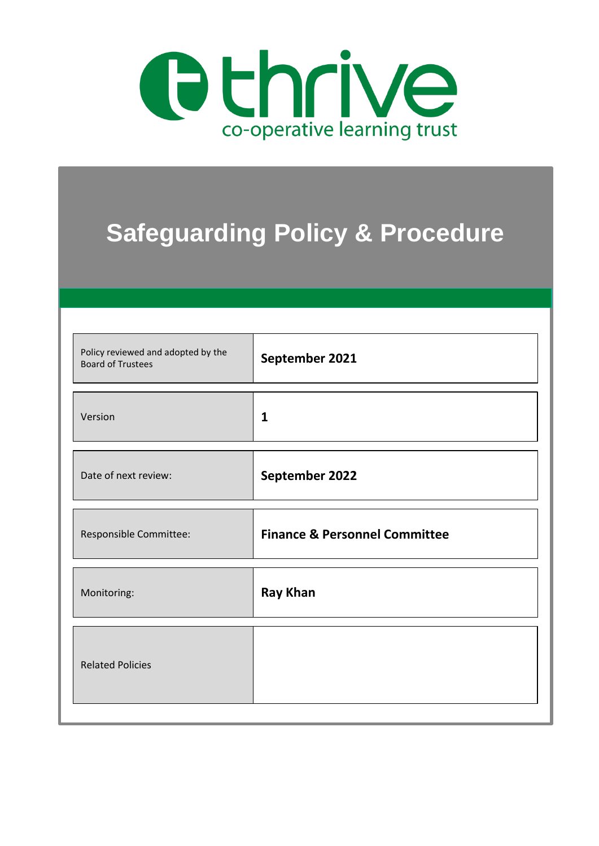

# **Safeguarding Policy & Procedure**

| Policy reviewed and adopted by the<br><b>Board of Trustees</b> | September 2021                           |
|----------------------------------------------------------------|------------------------------------------|
| Version                                                        | $\mathbf{1}$                             |
| Date of next review:                                           | September 2022                           |
| Responsible Committee:                                         | <b>Finance &amp; Personnel Committee</b> |
| Monitoring:                                                    | <b>Ray Khan</b>                          |
| <b>Related Policies</b>                                        |                                          |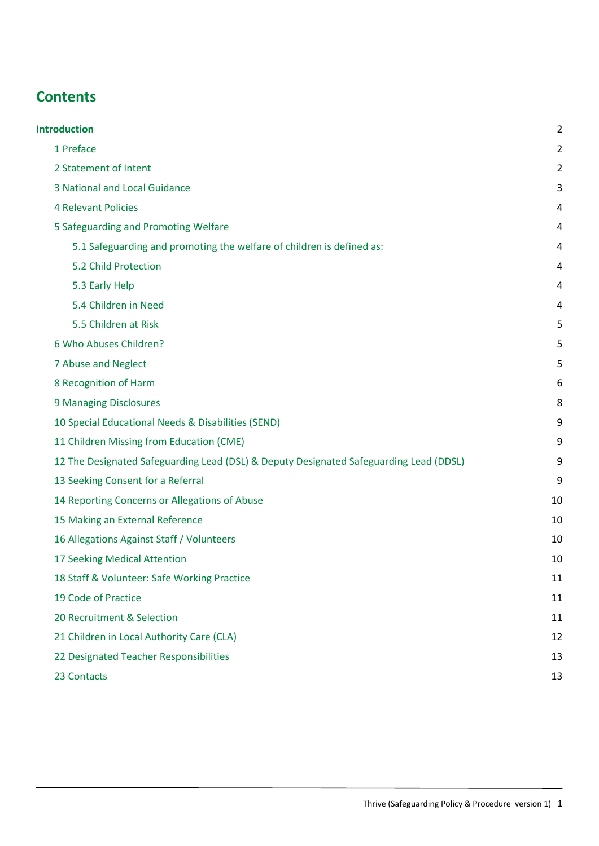# **Contents**

| <b>Introduction</b>                                                                    | $\overline{2}$ |
|----------------------------------------------------------------------------------------|----------------|
| 1 Preface                                                                              | $\overline{2}$ |
| 2 Statement of Intent                                                                  | 2              |
| 3 National and Local Guidance                                                          | 3              |
| <b>4 Relevant Policies</b>                                                             | 4              |
| 5 Safeguarding and Promoting Welfare                                                   | 4              |
| 5.1 Safeguarding and promoting the welfare of children is defined as:                  | 4              |
| 5.2 Child Protection                                                                   | 4              |
| 5.3 Early Help                                                                         | 4              |
| 5.4 Children in Need                                                                   | 4              |
| 5.5 Children at Risk                                                                   | 5              |
| 6 Who Abuses Children?                                                                 | 5              |
| 7 Abuse and Neglect                                                                    | 5              |
| 8 Recognition of Harm                                                                  | 6              |
| 9 Managing Disclosures                                                                 | 8              |
| 10 Special Educational Needs & Disabilities (SEND)                                     | 9              |
| 11 Children Missing from Education (CME)                                               | 9              |
| 12 The Designated Safeguarding Lead (DSL) & Deputy Designated Safeguarding Lead (DDSL) | 9              |
| 13 Seeking Consent for a Referral                                                      | 9              |
| 14 Reporting Concerns or Allegations of Abuse                                          | 10             |
| 15 Making an External Reference                                                        | 10             |
| 16 Allegations Against Staff / Volunteers                                              | 10             |
| 17 Seeking Medical Attention                                                           | 10             |
| 18 Staff & Volunteer: Safe Working Practice                                            | 11             |
| 19 Code of Practice                                                                    | 11             |
| 20 Recruitment & Selection                                                             | 11             |
| 21 Children in Local Authority Care (CLA)                                              | 12             |
| 22 Designated Teacher Responsibilities                                                 | 13             |
| 23 Contacts                                                                            | 13             |
|                                                                                        |                |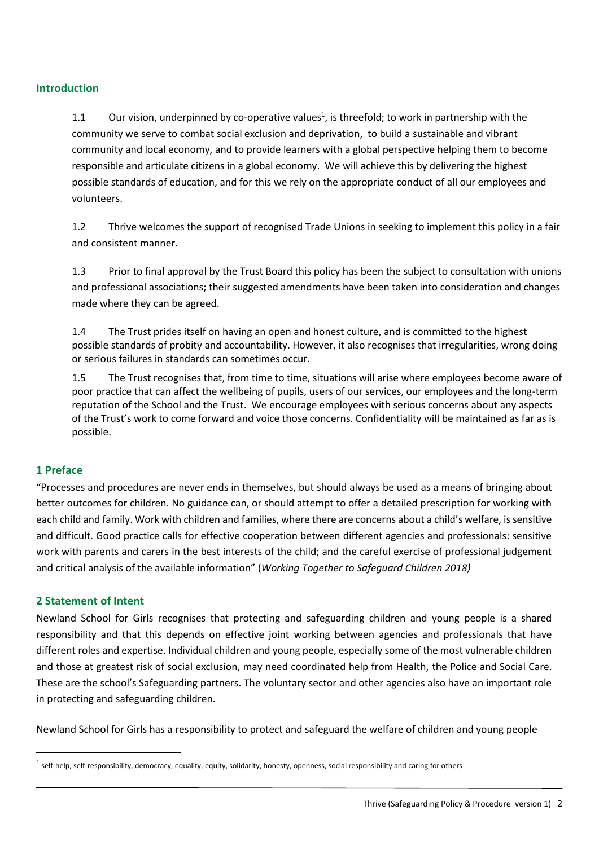#### <span id="page-2-0"></span>**Introduction**

1.1 Our vision, underpinned by co-operative values<sup>1</sup>, is threefold; to work in partnership with the community we serve to combat social exclusion and deprivation, to build a sustainable and vibrant community and local economy, and to provide learners with a global perspective helping them to become responsible and articulate citizens in a global economy. We will achieve this by delivering the highest possible standards of education, and for this we rely on the appropriate conduct of all our employees and volunteers.

1.2 Thrive welcomes the support of recognised Trade Unions in seeking to implement this policy in a fair and consistent manner.

1.3 Prior to final approval by the Trust Board this policy has been the subject to consultation with unions and professional associations; their suggested amendments have been taken into consideration and changes made where they can be agreed.

1.4 The Trust prides itself on having an open and honest culture, and is committed to the highest possible standards of probity and accountability. However, it also recognises that irregularities, wrong doing or serious failures in standards can sometimes occur.

1.5 The Trust recognises that, from time to time, situations will arise where employees become aware of poor practice that can affect the wellbeing of pupils, users of our services, our employees and the long-term reputation of the School and the Trust. We encourage employees with serious concerns about any aspects of the Trust's work to come forward and voice those concerns. Confidentiality will be maintained as far as is possible.

#### <span id="page-2-1"></span>**1 Preface**

**.** 

"Processes and procedures are never ends in themselves, but should always be used as a means of bringing about better outcomes for children. No guidance can, or should attempt to offer a detailed prescription for working with each child and family. Work with children and families, where there are concerns about a child's welfare, is sensitive and difficult. Good practice calls for effective cooperation between different agencies and professionals: sensitive work with parents and carers in the best interests of the child; and the careful exercise of professional judgement and critical analysis of the available information" (*Working Together to Safeguard Children 2018)*

#### <span id="page-2-2"></span>**2 Statement of Intent**

Newland School for Girls recognises that protecting and safeguarding children and young people is a shared responsibility and that this depends on effective joint working between agencies and professionals that have different roles and expertise. Individual children and young people, especially some of the most vulnerable children and those at greatest risk of social exclusion, may need coordinated help from Health, the Police and Social Care. These are the school's Safeguarding partners. The voluntary sector and other agencies also have an important role in protecting and safeguarding children.

Newland School for Girls has a responsibility to protect and safeguard the welfare of children and young people

 $^1$  self-help, self-responsibility, democracy, equality, equity, solidarity, honesty, openness, social responsibility and caring for others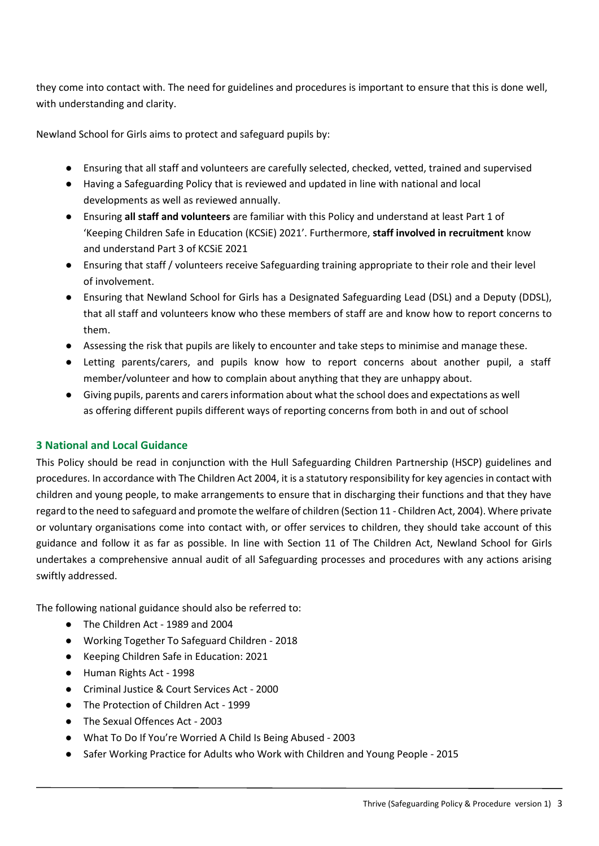they come into contact with. The need for guidelines and procedures is important to ensure that this is done well, with understanding and clarity.

Newland School for Girls aims to protect and safeguard pupils by:

- Ensuring that all staff and volunteers are carefully selected, checked, vetted, trained and supervised
- Having a Safeguarding Policy that is reviewed and updated in line with national and local developments as well as reviewed annually.
- Ensuring **all staff and volunteers** are familiar with this Policy and understand at least Part 1 of 'Keeping Children Safe in Education (KCSiE) 2021'. Furthermore, **staff involved in recruitment** know and understand Part 3 of KCSiE 2021
- Ensuring that staff / volunteers receive Safeguarding training appropriate to their role and their level of involvement.
- Ensuring that Newland School for Girls has a Designated Safeguarding Lead (DSL) and a Deputy (DDSL), that all staff and volunteers know who these members of staff are and know how to report concerns to them.
- Assessing the risk that pupils are likely to encounter and take steps to minimise and manage these.
- Letting parents/carers, and pupils know how to report concerns about another pupil, a staff member/volunteer and how to complain about anything that they are unhappy about.
- Giving pupils, parents and carers information about what the school does and expectations as well as offering different pupils different ways of reporting concerns from both in and out of school

#### <span id="page-3-0"></span>**3 National and Local Guidance**

This Policy should be read in conjunction with the Hull Safeguarding Children Partnership (HSCP) guidelines and procedures. In accordance with The Children Act 2004, it is a statutory responsibility for key agencies in contact with children and young people, to make arrangements to ensure that in discharging their functions and that they have regard to the need to safeguard and promote the welfare of children (Section 11 - Children Act, 2004). Where private or voluntary organisations come into contact with, or offer services to children, they should take account of this guidance and follow it as far as possible. In line with Section 11 of The Children Act, Newland School for Girls undertakes a comprehensive annual audit of all Safeguarding processes and procedures with any actions arising swiftly addressed.

The following national guidance should also be referred to:

- The Children Act 1989 and 2004
- Working Together To Safeguard Children 2018
- Keeping Children Safe in Education: 2021
- Human Rights Act 1998
- Criminal Justice & Court Services Act 2000
- The Protection of Children Act 1999
- The Sexual Offences Act 2003
- What To Do If You're Worried A Child Is Being Abused 2003
- Safer Working Practice for Adults who Work with Children and Young People 2015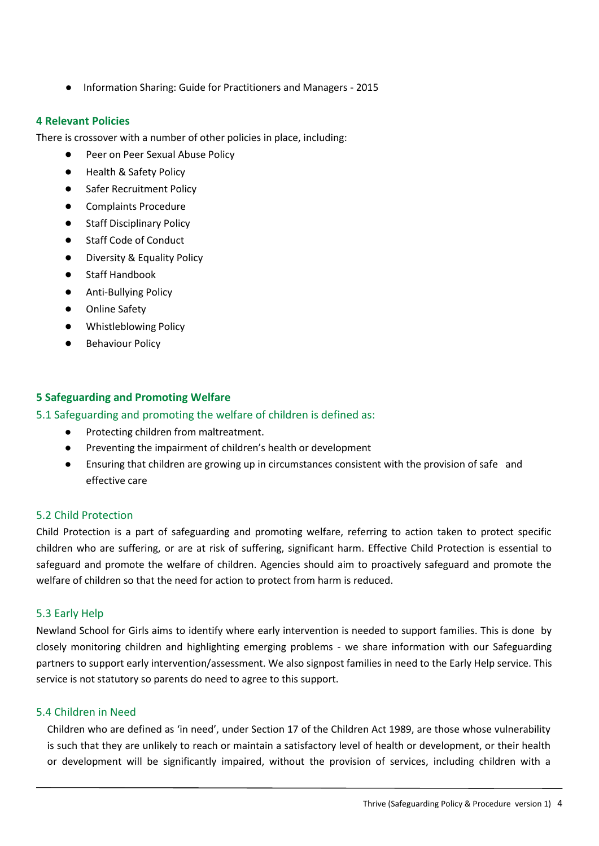● Information Sharing: Guide for Practitioners and Managers - 2015

#### <span id="page-4-0"></span>**4 Relevant Policies**

There is crossover with a number of other policies in place, including:

- Peer on Peer Sexual Abuse Policy
- Health & Safety Policy
- **Safer Recruitment Policy**
- Complaints Procedure
- **Staff Disciplinary Policy**
- **Staff Code of Conduct**
- Diversity & Equality Policy
- **Staff Handbook**
- Anti-Bullying Policy
- **Online Safety**
- Whistleblowing Policy
- **Behaviour Policy**

#### <span id="page-4-1"></span>**5 Safeguarding and Promoting Welfare**

#### <span id="page-4-2"></span>5.1 Safeguarding and promoting the welfare of children is defined as:

- Protecting children from maltreatment.
- Preventing the impairment of children's health or development
- Ensuring that children are growing up in circumstances consistent with the provision of safe and effective care

#### <span id="page-4-3"></span>5.2 Child Protection

Child Protection is a part of safeguarding and promoting welfare, referring to action taken to protect specific children who are suffering, or are at risk of suffering, significant harm. Effective Child Protection is essential to safeguard and promote the welfare of children. Agencies should aim to proactively safeguard and promote the welfare of children so that the need for action to protect from harm is reduced.

#### <span id="page-4-4"></span>5.3 Early Help

Newland School for Girls aims to identify where early intervention is needed to support families. This is done by closely monitoring children and highlighting emerging problems - we share information with our Safeguarding partners to support early intervention/assessment. We also signpost families in need to the Early Help service. This service is not statutory so parents do need to agree to this support.

#### <span id="page-4-5"></span>5.4 Children in Need

Children who are defined as 'in need', under Section 17 of the Children Act 1989, are those whose vulnerability is such that they are unlikely to reach or maintain a satisfactory level of health or development, or their health or development will be significantly impaired, without the provision of services, including children with a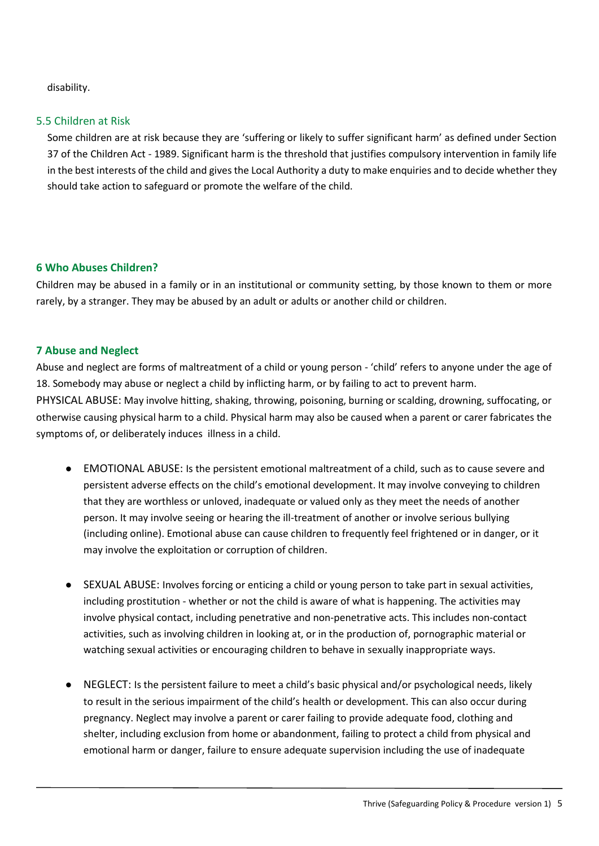disability.

#### <span id="page-5-0"></span>5.5 Children at Risk

Some children are at risk because they are 'suffering or likely to suffer significant harm' as defined under Section 37 of the Children Act - 1989. Significant harm is the threshold that justifies compulsory intervention in family life in the best interests of the child and gives the Local Authority a duty to make enquiries and to decide whether they should take action to safeguard or promote the welfare of the child.

#### <span id="page-5-1"></span>**6 Who Abuses Children?**

Children may be abused in a family or in an institutional or community setting, by those known to them or more rarely, by a stranger. They may be abused by an adult or adults or another child or children.

#### <span id="page-5-2"></span>**7 Abuse and Neglect**

Abuse and neglect are forms of maltreatment of a child or young person - 'child' refers to anyone under the age of 18. Somebody may abuse or neglect a child by inflicting harm, or by failing to act to prevent harm. PHYSICAL ABUSE: May involve hitting, shaking, throwing, poisoning, burning or scalding, drowning, suffocating, or otherwise causing physical harm to a child. Physical harm may also be caused when a parent or carer fabricates the symptoms of, or deliberately induces illness in a child.

- EMOTIONAL ABUSE: Is the persistent emotional maltreatment of a child, such as to cause severe and persistent adverse effects on the child's emotional development. It may involve conveying to children that they are worthless or unloved, inadequate or valued only as they meet the needs of another person. It may involve seeing or hearing the ill-treatment of another or involve serious bullying (including online). Emotional abuse can cause children to frequently feel frightened or in danger, or it may involve the exploitation or corruption of children.
- SEXUAL ABUSE: Involves forcing or enticing a child or young person to take part in sexual activities, including prostitution - whether or not the child is aware of what is happening. The activities may involve physical contact, including penetrative and non-penetrative acts. This includes non-contact activities, such as involving children in looking at, or in the production of, pornographic material or watching sexual activities or encouraging children to behave in sexually inappropriate ways.
- NEGLECT: Is the persistent failure to meet a child's basic physical and/or psychological needs, likely to result in the serious impairment of the child's health or development. This can also occur during pregnancy. Neglect may involve a parent or carer failing to provide adequate food, clothing and shelter, including exclusion from home or abandonment, failing to protect a child from physical and emotional harm or danger, failure to ensure adequate supervision including the use of inadequate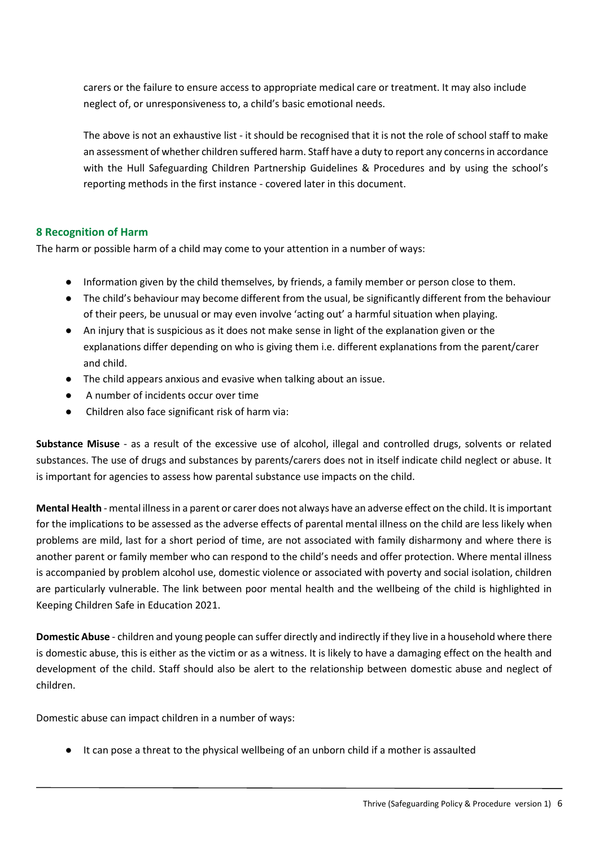carers or the failure to ensure access to appropriate medical care or treatment. It may also include neglect of, or unresponsiveness to, a child's basic emotional needs.

The above is not an exhaustive list - it should be recognised that it is not the role of school staff to make an assessment of whether children suffered harm. Staff have a duty to report any concerns in accordance with the Hull Safeguarding Children Partnership Guidelines & Procedures and by using the school's reporting methods in the first instance - covered later in this document.

#### <span id="page-6-0"></span>**8 Recognition of Harm**

The harm or possible harm of a child may come to your attention in a number of ways:

- Information given by the child themselves, by friends, a family member or person close to them.
- The child's behaviour may become different from the usual, be significantly different from the behaviour of their peers, be unusual or may even involve 'acting out' a harmful situation when playing.
- An injury that is suspicious as it does not make sense in light of the explanation given or the explanations differ depending on who is giving them i.e. different explanations from the parent/carer and child.
- The child appears anxious and evasive when talking about an issue.
- A number of incidents occur over time
- Children also face significant risk of harm via:

**Substance Misuse** - as a result of the excessive use of alcohol, illegal and controlled drugs, solvents or related substances. The use of drugs and substances by parents/carers does not in itself indicate child neglect or abuse. It is important for agencies to assess how parental substance use impacts on the child.

**Mental Health** - mental illness in a parent or carer does not always have an adverse effect on the child. It is important for the implications to be assessed as the adverse effects of parental mental illness on the child are less likely when problems are mild, last for a short period of time, are not associated with family disharmony and where there is another parent or family member who can respond to the child's needs and offer protection. Where mental illness is accompanied by problem alcohol use, domestic violence or associated with poverty and social isolation, children are particularly vulnerable. The link between poor mental health and the wellbeing of the child is highlighted in Keeping Children Safe in Education 2021.

**Domestic Abuse** - children and young people can suffer directly and indirectly if they live in a household where there is domestic abuse, this is either as the victim or as a witness. It is likely to have a damaging effect on the health and development of the child. Staff should also be alert to the relationship between domestic abuse and neglect of children.

Domestic abuse can impact children in a number of ways:

● It can pose a threat to the physical wellbeing of an unborn child if a mother is assaulted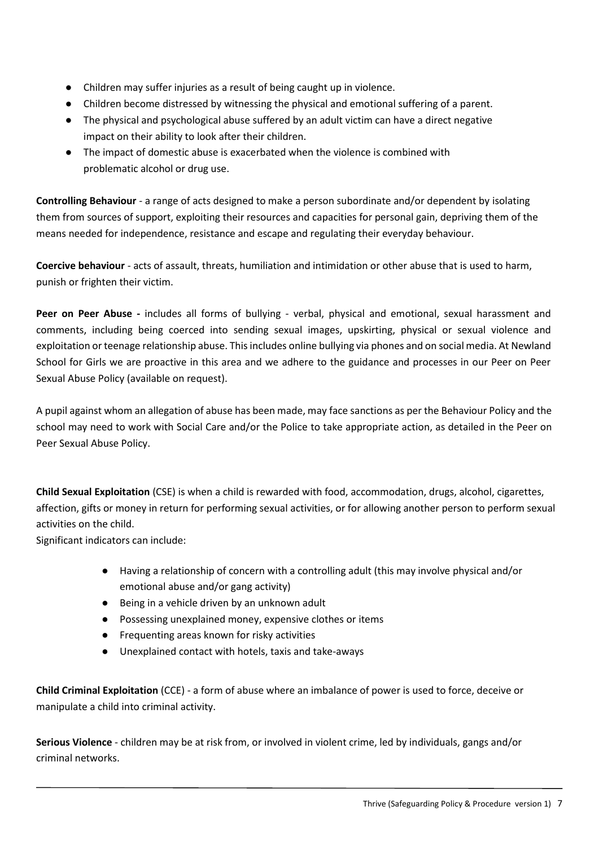- Children may suffer injuries as a result of being caught up in violence.
- Children become distressed by witnessing the physical and emotional suffering of a parent.
- The physical and psychological abuse suffered by an adult victim can have a direct negative impact on their ability to look after their children.
- The impact of domestic abuse is exacerbated when the violence is combined with problematic alcohol or drug use.

**Controlling Behaviour** - a range of acts designed to make a person subordinate and/or dependent by isolating them from sources of support, exploiting their resources and capacities for personal gain, depriving them of the means needed for independence, resistance and escape and regulating their everyday behaviour.

**Coercive behaviour** - acts of assault, threats, humiliation and intimidation or other abuse that is used to harm, punish or frighten their victim.

**Peer on Peer Abuse -** includes all forms of bullying - verbal, physical and emotional, sexual harassment and comments, including being coerced into sending sexual images, upskirting, physical or sexual violence and exploitation or teenage relationship abuse. This includes online bullying via phones and on social media. At Newland School for Girls we are proactive in this area and we adhere to the guidance and processes in our Peer on Peer Sexual Abuse Policy (available on request).

A pupil against whom an allegation of abuse has been made, may face sanctions as per the Behaviour Policy and the school may need to work with Social Care and/or the Police to take appropriate action, as detailed in the Peer on Peer Sexual Abuse Policy.

**Child Sexual Exploitation** (CSE) is when a child is rewarded with food, accommodation, drugs, alcohol, cigarettes, affection, gifts or money in return for performing sexual activities, or for allowing another person to perform sexual activities on the child.

Significant indicators can include:

- Having a relationship of concern with a controlling adult (this may involve physical and/or emotional abuse and/or gang activity)
- Being in a vehicle driven by an unknown adult
- Possessing unexplained money, expensive clothes or items
- Frequenting areas known for risky activities
- Unexplained contact with hotels, taxis and take-aways

**Child Criminal Exploitation** (CCE) - a form of abuse where an imbalance of power is used to force, deceive or manipulate a child into criminal activity.

**Serious Violence** - children may be at risk from, or involved in violent crime, led by individuals, gangs and/or criminal networks.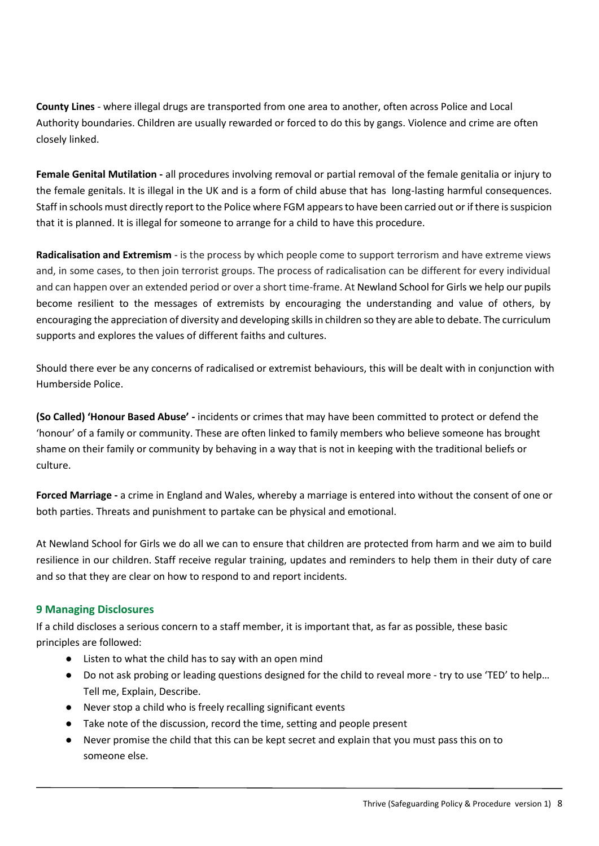**County Lines** - where illegal drugs are transported from one area to another, often across Police and Local Authority boundaries. Children are usually rewarded or forced to do this by gangs. Violence and crime are often closely linked.

**Female Genital Mutilation -** all procedures involving removal or partial removal of the female genitalia or injury to the female genitals. It is illegal in the UK and is a form of child abuse that has long-lasting harmful consequences. Staff in schools must directly report to the Police where FGM appears to have been carried out or if there is suspicion that it is planned. It is illegal for someone to arrange for a child to have this procedure.

**Radicalisation and Extremism** - is the process by which people come to support terrorism and have extreme views and, in some cases, to then join terrorist groups. The process of radicalisation can be different for every individual and can happen over an extended period or over a short time-frame. At Newland School for Girls we help our pupils become resilient to the messages of extremists by encouraging the understanding and value of others, by encouraging the appreciation of diversity and developing skills in children so they are able to debate. The curriculum supports and explores the values of different faiths and cultures.

Should there ever be any concerns of radicalised or extremist behaviours, this will be dealt with in conjunction with Humberside Police.

**(So Called) 'Honour Based Abuse' -** incidents or crimes that may have been committed to protect or defend the 'honour' of a family or community. These are often linked to family members who believe someone has brought shame on their family or community by behaving in a way that is not in keeping with the traditional beliefs or culture.

**Forced Marriage -** a crime in England and Wales, whereby a marriage is entered into without the consent of one or both parties. Threats and punishment to partake can be physical and emotional.

At Newland School for Girls we do all we can to ensure that children are protected from harm and we aim to build resilience in our children. Staff receive regular training, updates and reminders to help them in their duty of care and so that they are clear on how to respond to and report incidents.

#### <span id="page-8-0"></span>**9 Managing Disclosures**

If a child discloses a serious concern to a staff member, it is important that, as far as possible, these basic principles are followed:

- Listen to what the child has to say with an open mind
- Do not ask probing or leading questions designed for the child to reveal more try to use 'TED' to help… Tell me, Explain, Describe.
- Never stop a child who is freely recalling significant events
- Take note of the discussion, record the time, setting and people present
- Never promise the child that this can be kept secret and explain that you must pass this on to someone else.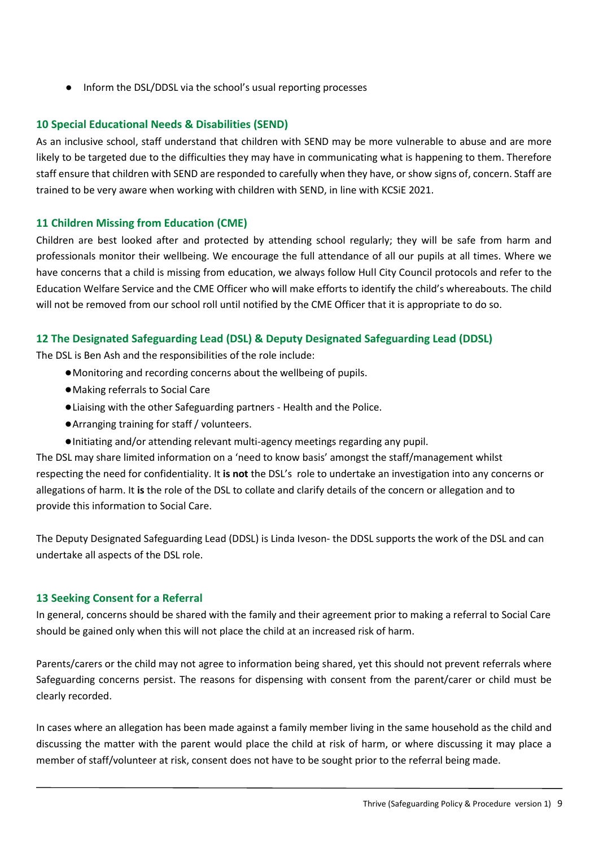● Inform the DSL/DDSL via the school's usual reporting processes

#### <span id="page-9-0"></span>**10 Special Educational Needs & Disabilities (SEND)**

As an inclusive school, staff understand that children with SEND may be more vulnerable to abuse and are more likely to be targeted due to the difficulties they may have in communicating what is happening to them. Therefore staff ensure that children with SEND are responded to carefully when they have, or show signs of, concern. Staff are trained to be very aware when working with children with SEND, in line with KCSiE 2021.

#### <span id="page-9-1"></span>**11 Children Missing from Education (CME)**

Children are best looked after and protected by attending school regularly; they will be safe from harm and professionals monitor their wellbeing. We encourage the full attendance of all our pupils at all times. Where we have concerns that a child is missing from education, we always follow Hull City Council protocols and refer to the Education Welfare Service and the CME Officer who will make efforts to identify the child's whereabouts. The child will not be removed from our school roll until notified by the CME Officer that it is appropriate to do so.

#### <span id="page-9-2"></span>**12 The Designated Safeguarding Lead (DSL) & Deputy Designated Safeguarding Lead (DDSL)**

The DSL is Ben Ash and the responsibilities of the role include:

- ●Monitoring and recording concerns about the wellbeing of pupils.
- ●Making referrals to Social Care
- ●Liaising with the other Safeguarding partners Health and the Police.
- ●Arranging training for staff / volunteers.
- ●Initiating and/or attending relevant multi-agency meetings regarding any pupil.

The DSL may share limited information on a 'need to know basis' amongst the staff/management whilst respecting the need for confidentiality. It **is not** the DSL's role to undertake an investigation into any concerns or allegations of harm. It **is** the role of the DSL to collate and clarify details of the concern or allegation and to provide this information to Social Care.

The Deputy Designated Safeguarding Lead (DDSL) is Linda Iveson- the DDSL supports the work of the DSL and can undertake all aspects of the DSL role.

#### <span id="page-9-3"></span>**13 Seeking Consent for a Referral**

In general, concerns should be shared with the family and their agreement prior to making a referral to Social Care should be gained only when this will not place the child at an increased risk of harm.

Parents/carers or the child may not agree to information being shared, yet this should not prevent referrals where Safeguarding concerns persist. The reasons for dispensing with consent from the parent/carer or child must be clearly recorded.

In cases where an allegation has been made against a family member living in the same household as the child and discussing the matter with the parent would place the child at risk of harm, or where discussing it may place a member of staff/volunteer at risk, consent does not have to be sought prior to the referral being made.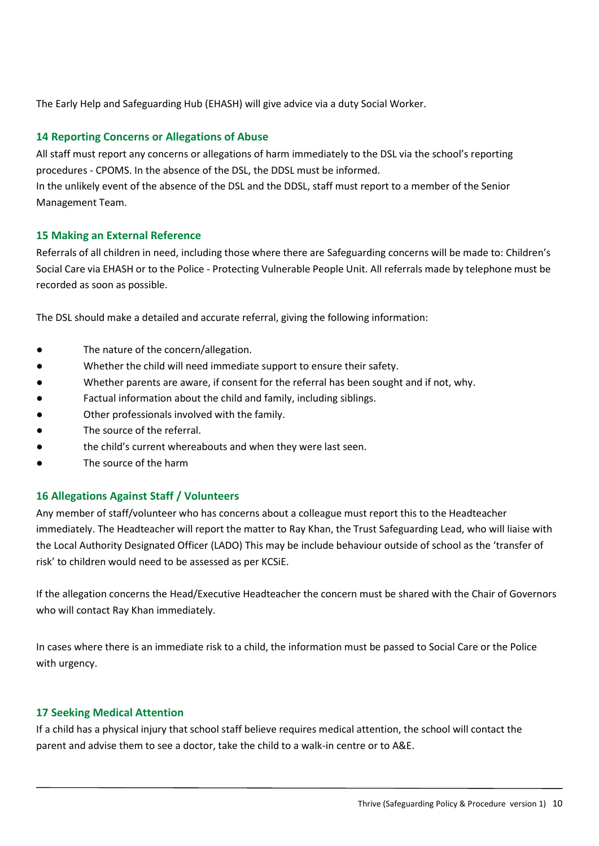The Early Help and Safeguarding Hub (EHASH) will give advice via a duty Social Worker.

#### <span id="page-10-0"></span>**14 Reporting Concerns or Allegations of Abuse**

All staff must report any concerns or allegations of harm immediately to the DSL via the school's reporting procedures - CPOMS. In the absence of the DSL, the DDSL must be informed.

In the unlikely event of the absence of the DSL and the DDSL, staff must report to a member of the Senior Management Team.

#### <span id="page-10-1"></span>**15 Making an External Reference**

Referrals of all children in need, including those where there are Safeguarding concerns will be made to: Children's Social Care via EHASH or to the Police - Protecting Vulnerable People Unit. All referrals made by telephone must be recorded as soon as possible.

The DSL should make a detailed and accurate referral, giving the following information:

- The nature of the concern/allegation.
- Whether the child will need immediate support to ensure their safety.
- Whether parents are aware, if consent for the referral has been sought and if not, why.
- Factual information about the child and family, including siblings.
- Other professionals involved with the family.
- The source of the referral.
- the child's current whereabouts and when they were last seen.
- The source of the harm

#### <span id="page-10-2"></span>**16 Allegations Against Staff / Volunteers**

Any member of staff/volunteer who has concerns about a colleague must report this to the Headteacher immediately. The Headteacher will report the matter to Ray Khan, the Trust Safeguarding Lead, who will liaise with the Local Authority Designated Officer (LADO) This may be include behaviour outside of school as the 'transfer of risk' to children would need to be assessed as per KCSiE.

If the allegation concerns the Head/Executive Headteacher the concern must be shared with the Chair of Governors who will contact Ray Khan immediately.

In cases where there is an immediate risk to a child, the information must be passed to Social Care or the Police with urgency.

#### <span id="page-10-3"></span>**17 Seeking Medical Attention**

If a child has a physical injury that school staff believe requires medical attention, the school will contact the parent and advise them to see a doctor, take the child to a walk-in centre or to A&E.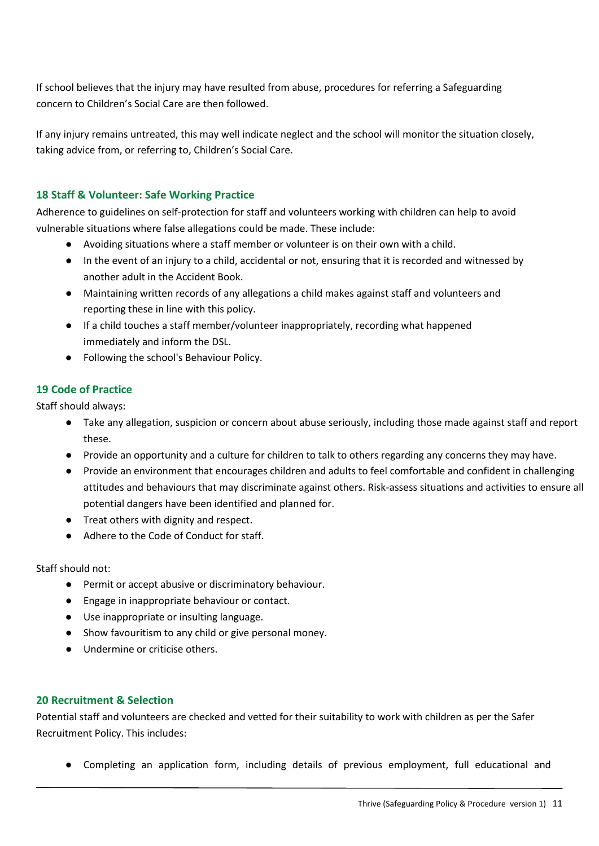If school believes that the injury may have resulted from abuse, procedures for referring a Safeguarding concern to Children's Social Care are then followed.

If any injury remains untreated, this may well indicate neglect and the school will monitor the situation closely, taking advice from, or referring to, Children's Social Care.

#### <span id="page-11-0"></span>**18 Staff & Volunteer: Safe Working Practice**

Adherence to guidelines on self-protection for staff and volunteers working with children can help to avoid vulnerable situations where false allegations could be made. These include:

- Avoiding situations where a staff member or volunteer is on their own with a child.
- In the event of an injury to a child, accidental or not, ensuring that it is recorded and witnessed by another adult in the Accident Book.
- Maintaining written records of any allegations a child makes against staff and volunteers and reporting these in line with this policy.
- If a child touches a staff member/volunteer inappropriately, recording what happened immediately and inform the DSL.
- Following the school's Behaviour Policy.

#### <span id="page-11-1"></span>**19 Code of Practice**

Staff should always:

- Take any allegation, suspicion or concern about abuse seriously, including those made against staff and report these.
- Provide an opportunity and a culture for children to talk to others regarding any concerns they may have.
- Provide an environment that encourages children and adults to feel comfortable and confident in challenging attitudes and behaviours that may discriminate against others. Risk-assess situations and activities to ensure all potential dangers have been identified and planned for.
- Treat others with dignity and respect.
- Adhere to the Code of Conduct for staff.

Staff should not:

- Permit or accept abusive or discriminatory behaviour.
- Engage in inappropriate behaviour or contact.
- Use inappropriate or insulting language.
- Show favouritism to any child or give personal money.
- Undermine or criticise others.

#### <span id="page-11-2"></span>**20 Recruitment & Selection**

Potential staff and volunteers are checked and vetted for their suitability to work with children as per the Safer Recruitment Policy. This includes:

● Completing an application form, including details of previous employment, full educational and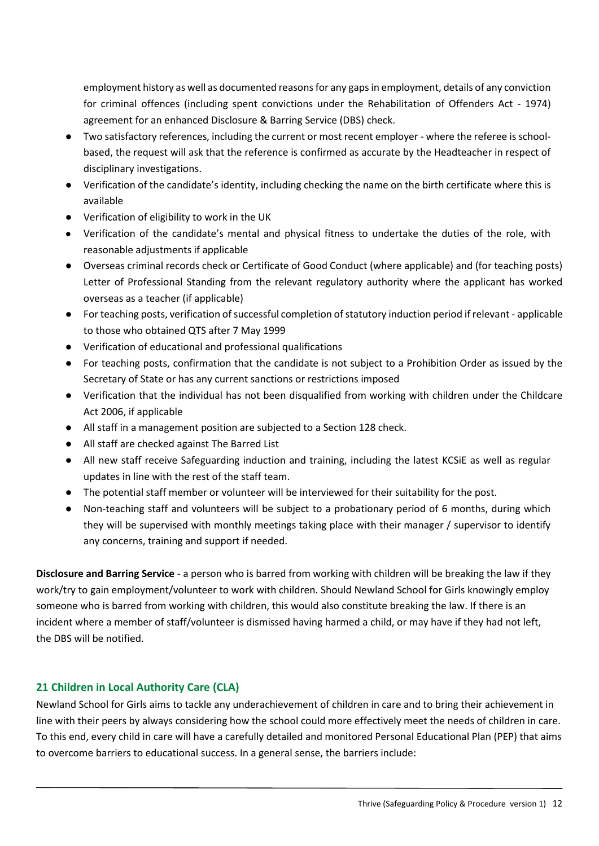employment history as well as documented reasons for any gaps in employment, details of any conviction for criminal offences (including spent convictions under the Rehabilitation of Offenders Act - 1974) agreement for an enhanced Disclosure & Barring Service (DBS) check.

- Two satisfactory references, including the current or most recent employer where the referee is schoolbased, the request will ask that the reference is confirmed as accurate by the Headteacher in respect of disciplinary investigations.
- Verification of the candidate's identity, including checking the name on the birth certificate where this is available
- Verification of eligibility to work in the UK
- Verification of the candidate's mental and physical fitness to undertake the duties of the role, with reasonable adjustments if applicable
- Overseas criminal records check or Certificate of Good Conduct (where applicable) and (for teaching posts) Letter of Professional Standing from the relevant regulatory authority where the applicant has worked overseas as a teacher (if applicable)
- For teaching posts, verification of successful completion of statutory induction period if relevant applicable to those who obtained QTS after 7 May 1999
- Verification of educational and professional qualifications
- For teaching posts, confirmation that the candidate is not subject to a Prohibition Order as issued by the Secretary of State or has any current sanctions or restrictions imposed
- Verification that the individual has not been disqualified from working with children under the Childcare Act 2006, if applicable
- All staff in a management position are subjected to a Section 128 check.
- All staff are checked against The Barred List
- All new staff receive Safeguarding induction and training, including the latest KCSiE as well as regular updates in line with the rest of the staff team.
- The potential staff member or volunteer will be interviewed for their suitability for the post.
- Non-teaching staff and volunteers will be subject to a probationary period of 6 months, during which they will be supervised with monthly meetings taking place with their manager / supervisor to identify any concerns, training and support if needed.

**Disclosure and Barring Service** - a person who is barred from working with children will be breaking the law if they work/try to gain employment/volunteer to work with children. Should Newland School for Girls knowingly employ someone who is barred from working with children, this would also constitute breaking the law. If there is an incident where a member of staff/volunteer is dismissed having harmed a child, or may have if they had not left, the DBS will be notified.

## <span id="page-12-0"></span>**21 Children in Local Authority Care (CLA)**

Newland School for Girls aims to tackle any underachievement of children in care and to bring their achievement in line with their peers by always considering how the school could more effectively meet the needs of children in care. To this end, every child in care will have a carefully detailed and monitored Personal Educational Plan (PEP) that aims to overcome barriers to educational success. In a general sense, the barriers include: